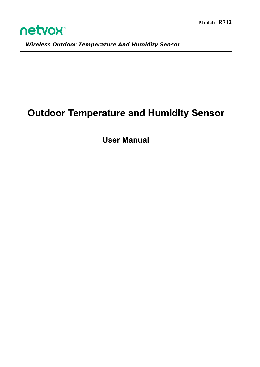

*Wireless Outdoor Temperature And Humidity Sensor*

# **Outdoor Temperature and Humidity Sensor**

**User Manual**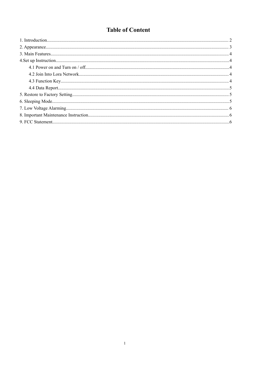# **Table of Content**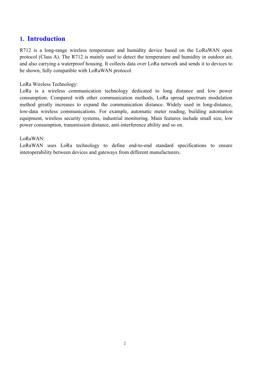# <span id="page-2-0"></span>**1. Introduction**

R712 is a long-range wireless temperature and humidity device based on the LoRaWAN open protocol (Class A). The R712 is mainly used to detect the temperature and humidity in outdoor air, and also carrying a waterproof housing. It collects data over LoRa network and sends it to devices to be shown, fully compatible with LoRaWAN protocol.

LoRa Wireless Technology:

LoRa is a wireless communication technology dedicated to long distance and low power consumption. Compared with other communication methods, LoRa spread spectrum modulation method greatly increases to expand the communication distance. Widely used in long-distance, low-data wireless communications. For example, automatic meter reading, building automation equipment, wireless security systems, industrial monitoring. Main features include small size, low power consumption, transmission distance, anti-interference ability and so on.

#### LoRaWAN:

LoRaWAN uses LoRa technology to define end-to-end standard specifications to ensure interoperability between devices and gateways from different manufacturers.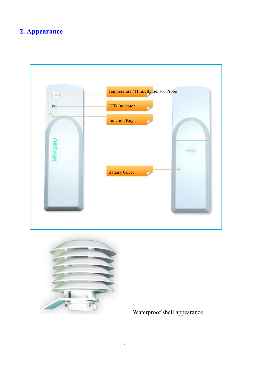# <span id="page-3-0"></span>**2. Appearance**





Waterproof shell appearance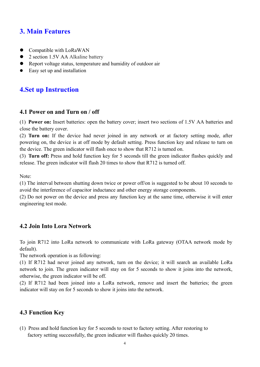# <span id="page-4-0"></span>**3. Main Features**

- Compatible with LoRaWAN
- 2 section 1.5V AA Alkaline battery
- Report voltage status, temperature and humidity of outdoor air
- Easy set up and installation

# **4.Set up Instruction**

#### **4.1 Power on and Turn on / off**

(1) **Power on:** Insert batteries: open the battery cover; insert two sections of1.5V AA batteries and close the battery cover.

(2) **Turn on:** If the device had never joined in any network or at factory setting mode, after powering on, the device is at off mode by default setting. Press function key and release to turn on the device. The green indicator will flash once to show that R712 is turned on.

(3) **Turn off:** Press and hold function key for 5 seconds till the green indicator flashes quickly and release. The green indicator will flash 20 times to show that R712 is turned off.

Note:

(1) The interval between shutting down twice or power off/on is suggested to be about 10 seconds to avoid the interference of capacitor inductance and other energy storage components.

(2) Do not power on the device and press any function key at the same time, otherwise it will enter engineering test mode.

#### **4.2 Join Into Lora Network**

To join R712 into LoRa network to communicate with LoRa gateway (OTAA network mode by default).

The network operation is as following:

(1) If R712 had never joined any network, turn on the device; it will search an available LoRa network to join. The green indicator will stay on for 5 seconds to show it joins into the network, otherwise, the green indicator will be off.

(2) If R712 had been joined into a LoRa network, remove and insert the batteries; the green indicator will stay on for 5 seconds to show it joins into the network.

#### **4.3 Function Key**

(1) Press and hold function key for 5 seconds to reset to factory setting. After restoring to factory setting successfully, the green indicator will flashes quickly 20 times.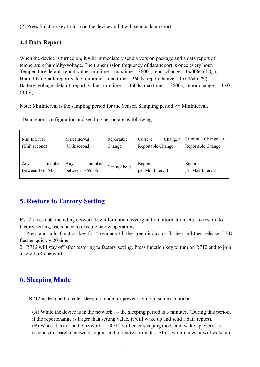<span id="page-5-0"></span>(2) Press function key to turn on the device and it will send a data report.

#### **4.4 Data Report**

When the device is turned on, it will immediately send a version package and a data report of temperature/humidity/voltage. The transmission frequency of data report is once every hour. Temperature default report value: mintime = maxtime = 3600s, reportchange = 0x0064 (1 °C), Humidity default report value: mintime = maxtime =  $3600s$ , reportchange =  $0x0064$  (1%), Battery voltage default report value: mintime =  $3600s$  maxtime =  $3600s$ , reportchange =  $0x01$  $(0.1V)$ .

Note: MinInterval is the sampling period for the Sensor. Sampling period >= MinInterval.

Data report configuration and sending period are as following:

| Min Interval<br>(Unit:second)           | Max Interval<br>(Unit:second)           | Reportable<br>Change | Change $\geq$<br>Current<br>Reportable Change | Change<br>Current<br>Reportable Change |
|-----------------------------------------|-----------------------------------------|----------------------|-----------------------------------------------|----------------------------------------|
| number<br>Any<br>between $1 \sim 65535$ | number<br>Any<br>between $1 \sim 65535$ | Can not be 0.        | Report<br>per Min Interval                    | Report<br>per Max Interval             |

# **5. Restore to Factory Setting**

R712 saves data including network key information, configuration information, etc. To restore to factory setting, users need to execute below operations.

1. Press and hold function key for 5 seconds till the green indicator flashes and then release; LED flashes quickly 20 times.

2. R712 will stay off after restoring to factory setting. Press function key to turn on R712 and to join a new LoRa network.

# **6. Sleeping Mode**

R712 is designed to enter sleeping mode for power-saving in some situations:

(A) While the device is in the network  $\rightarrow$  the sleeping period is 3 minutes. (During this period, if the reportchange is larger than setting value, it will wake up and send a data report). (B) When it is not in the network  $\rightarrow$  R712 will enter sleeping mode and wake up every 15 seconds to search a network to join in the first two minutes. After two minutes, it will wake up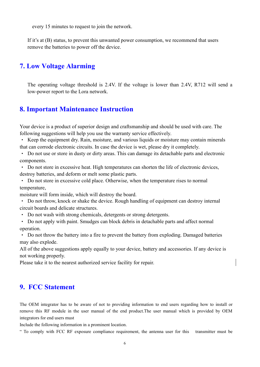<span id="page-6-1"></span><span id="page-6-0"></span>every 15 minutes to request to join the network.

If it's at (B) status, to prevent this unwanted power consumption, we recommend that users remove the batteries to power off the device.

# **7. Low Voltage Alarming**

The operating voltage threshold is 2.4V. If the voltage is lower than 2.4V, R712 will send a low-power report to the Lora network.

#### **8. Important Maintenance Instruction**

Your device is a product of superior design and craftsmanship and should be used with care. The following suggestions will help you use the warranty service effectively.

• Keep the equipment dry. Rain, moisture, and various liquids or moisture may contain minerals that can corrode electronic circuits. In case the device is wet, please dry it completely.

• Do not use or store in dusty or dirty areas. This can damage its detachable parts and electronic components.

• Do not store in excessive heat. High temperatures can shorten the life of electronic devices, destroy batteries, and deform or melt some plastic parts.

• Do not store in excessive cold place. Otherwise, when the temperature rises to normal temperature,

moisture will form inside, which will destroy the board.

• Do not throw, knock or shake the device. Rough handling of equipment can destroy internal circuit boards and delicate structures.

• Do not wash with strong chemicals, detergents or strong detergents.

• Do not apply with paint. Smudges can block debris in detachable parts and affect normal operation.

• Do not throw the battery into a fire to prevent the battery from exploding. Damaged batteries may also explode.

All of the above suggestions apply equally to your device, battery and accessories. If any device is not working properly.

Please take it to the nearest authorized service facility for repair.

#### **9. FCC Statement**

The OEM integrator has to be aware of not to providing information to end users regarding how to install or remove this RF module in the user manual of the end product.The user manual which is provided by OEM integrators for end users must

Include the following information in a prominent location.

" To comply with FCC RF exposure compliance requirement, the antenna user for this transmitter must be